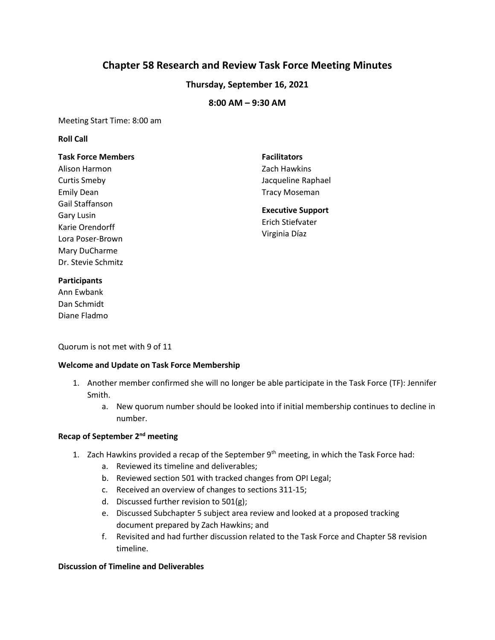# **Chapter 58 Research and Review Task Force Meeting Minutes**

## **Thursday, September 16, 2021**

## **8:00 AM – 9:30 AM**

Meeting Start Time: 8:00 am

#### **Roll Call**

#### **Task Force Members**

Alison Harmon Curtis Smeby Emily Dean Gail Staffanson Gary Lusin Karie Orendorff Lora Poser-Brown Mary DuCharme Dr. Stevie Schmitz

## **Facilitators**  Zach Hawkins Jacqueline Raphael Tracy Moseman

**Executive Support**  Erich Stiefvater Virginia Díaz

#### **Participants** Ann Ewbank Dan Schmidt

Diane Fladmo

Quorum is not met with 9 of 11

### **Welcome and Update on Task Force Membership**

- 1. Another member confirmed she will no longer be able participate in the Task Force (TF): Jennifer Smith.
	- a. New quorum number should be looked into if initial membership continues to decline in number.

### **Recap of September 2nd meeting**

- 1. Zach Hawkins provided a recap of the September  $9<sup>th</sup>$  meeting, in which the Task Force had:
	- a. Reviewed its timeline and deliverables;
	- b. Reviewed section 501 with tracked changes from OPI Legal;
	- c. Received an overview of changes to sections 311-15;
	- d. Discussed further revision to 501(g);
	- e. Discussed Subchapter 5 subject area review and looked at a proposed tracking document prepared by Zach Hawkins; and
	- f. Revisited and had further discussion related to the Task Force and Chapter 58 revision timeline.

### **Discussion of Timeline and Deliverables**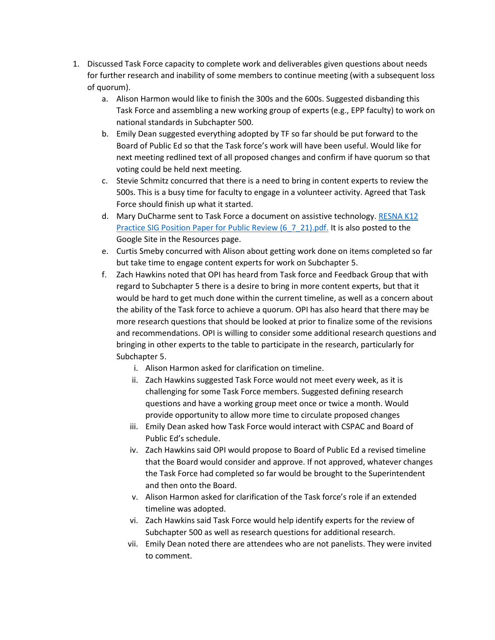- 1. Discussed Task Force capacity to complete work and deliverables given questions about needs for further research and inability of some members to continue meeting (with a subsequent loss of quorum).
	- a. Alison Harmon would like to finish the 300s and the 600s. Suggested disbanding this Task Force and assembling a new working group of experts (e.g., EPP faculty) to work on national standards in Subchapter 500.
	- b. Emily Dean suggested everything adopted by TF so far should be put forward to the Board of Public Ed so that the Task force's work will have been useful. Would like for next meeting redlined text of all proposed changes and confirm if have quorum so that voting could be held next meeting.
	- c. Stevie Schmitz concurred that there is a need to bring in content experts to review the 500s. This is a busy time for faculty to engage in a volunteer activity. Agreed that Task Force should finish up what it started.
	- d. Mary DuCharme sent to Task Force a document on assistive technology. RESNA K12 [Practice SIG Position Paper for Public Review \(6\\_7\\_21\).pdf.](https://drive.google.com/drive/folders/1-qfuObbe01R4B0lHkoRGn-zUiKra4-Gl) It is also posted to the Google Site in the Resources page.
	- e. Curtis Smeby concurred with Alison about getting work done on items completed so far but take time to engage content experts for work on Subchapter 5.
	- f. Zach Hawkins noted that OPI has heard from Task force and Feedback Group that with regard to Subchapter 5 there is a desire to bring in more content experts, but that it would be hard to get much done within the current timeline, as well as a concern about the ability of the Task force to achieve a quorum. OPI has also heard that there may be more research questions that should be looked at prior to finalize some of the revisions and recommendations. OPI is willing to consider some additional research questions and bringing in other experts to the table to participate in the research, particularly for Subchapter 5.
		- i. Alison Harmon asked for clarification on timeline.
		- ii. Zach Hawkins suggested Task Force would not meet every week, as it is challenging for some Task Force members. Suggested defining research questions and have a working group meet once or twice a month. Would provide opportunity to allow more time to circulate proposed changes
		- iii. Emily Dean asked how Task Force would interact with CSPAC and Board of Public Ed's schedule.
		- iv. Zach Hawkins said OPI would propose to Board of Public Ed a revised timeline that the Board would consider and approve. If not approved, whatever changes the Task Force had completed so far would be brought to the Superintendent and then onto the Board.
		- v. Alison Harmon asked for clarification of the Task force's role if an extended timeline was adopted.
		- vi. Zach Hawkins said Task Force would help identify experts for the review of Subchapter 500 as well as research questions for additional research.
		- vii. Emily Dean noted there are attendees who are not panelists. They were invited to comment.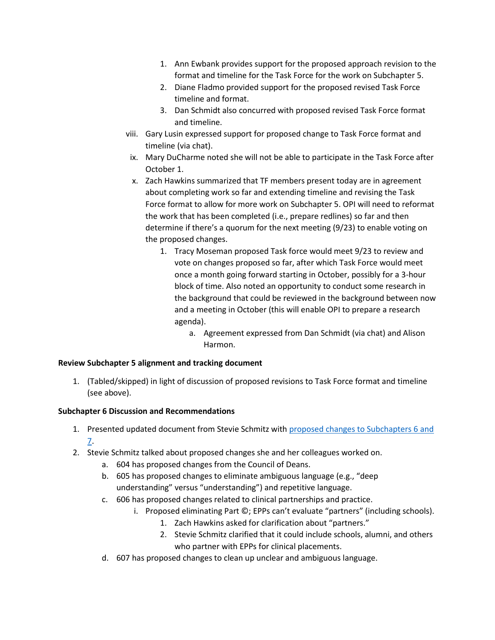- 1. Ann Ewbank provides support for the proposed approach revision to the format and timeline for the Task Force for the work on Subchapter 5.
- 2. Diane Fladmo provided support for the proposed revised Task Force timeline and format.
- 3. Dan Schmidt also concurred with proposed revised Task Force format and timeline.
- viii. Gary Lusin expressed support for proposed change to Task Force format and timeline (via chat).
- ix. Mary DuCharme noted she will not be able to participate in the Task Force after October 1.
- x. Zach Hawkins summarized that TF members present today are in agreement about completing work so far and extending timeline and revising the Task Force format to allow for more work on Subchapter 5. OPI will need to reformat the work that has been completed (i.e., prepare redlines) so far and then determine if there's a quorum for the next meeting (9/23) to enable voting on the proposed changes.
	- 1. Tracy Moseman proposed Task force would meet 9/23 to review and vote on changes proposed so far, after which Task Force would meet once a month going forward starting in October, possibly for a 3-hour block of time. Also noted an opportunity to conduct some research in the background that could be reviewed in the background between now and a meeting in October (this will enable OPI to prepare a research agenda).
		- a. Agreement expressed from Dan Schmidt (via chat) and Alison Harmon.

### **Review Subchapter 5 alignment and tracking document**

1. (Tabled/skipped) in light of discussion of proposed revisions to Task Force format and timeline (see above).

### **Subchapter 6 Discussion and Recommendations**

- 1. Presented updated document from Stevie Schmitz with proposed changes to Subchapters 6 and [7.](https://drive.google.com/file/d/1Bpj5u1JTeP81gX_KAJGhaLcDmUIaN2kZ/view?usp=sharing)
- 2. Stevie Schmitz talked about proposed changes she and her colleagues worked on.
	- a. 604 has proposed changes from the Council of Deans.
	- b. 605 has proposed changes to eliminate ambiguous language (e.g., "deep understanding" versus "understanding") and repetitive language.
	- c. 606 has proposed changes related to clinical partnerships and practice.
		- i. Proposed eliminating Part ©; EPPs can't evaluate "partners" (including schools).
			- 1. Zach Hawkins asked for clarification about "partners."
			- 2. Stevie Schmitz clarified that it could include schools, alumni, and others who partner with EPPs for clinical placements.
	- d. 607 has proposed changes to clean up unclear and ambiguous language.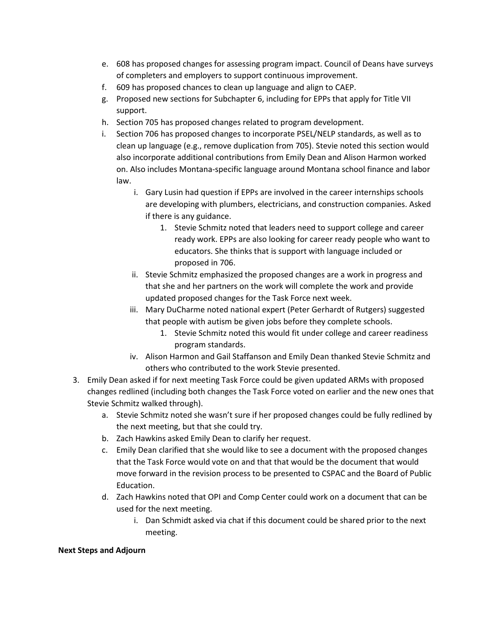- e. 608 has proposed changes for assessing program impact. Council of Deans have surveys of completers and employers to support continuous improvement.
- f. 609 has proposed chances to clean up language and align to CAEP.
- g. Proposed new sections for Subchapter 6, including for EPPs that apply for Title VII support.
- h. Section 705 has proposed changes related to program development.
- i. Section 706 has proposed changes to incorporate PSEL/NELP standards, as well as to clean up language (e.g., remove duplication from 705). Stevie noted this section would also incorporate additional contributions from Emily Dean and Alison Harmon worked on. Also includes Montana-specific language around Montana school finance and labor law.
	- i. Gary Lusin had question if EPPs are involved in the career internships schools are developing with plumbers, electricians, and construction companies. Asked if there is any guidance.
		- 1. Stevie Schmitz noted that leaders need to support college and career ready work. EPPs are also looking for career ready people who want to educators. She thinks that is support with language included or proposed in 706.
	- ii. Stevie Schmitz emphasized the proposed changes are a work in progress and that she and her partners on the work will complete the work and provide updated proposed changes for the Task Force next week.
	- iii. Mary DuCharme noted national expert (Peter Gerhardt of Rutgers) suggested that people with autism be given jobs before they complete schools.
		- 1. Stevie Schmitz noted this would fit under college and career readiness program standards.
	- iv. Alison Harmon and Gail Staffanson and Emily Dean thanked Stevie Schmitz and others who contributed to the work Stevie presented.
- 3. Emily Dean asked if for next meeting Task Force could be given updated ARMs with proposed changes redlined (including both changes the Task Force voted on earlier and the new ones that Stevie Schmitz walked through).
	- a. Stevie Schmitz noted she wasn't sure if her proposed changes could be fully redlined by the next meeting, but that she could try.
	- b. Zach Hawkins asked Emily Dean to clarify her request.
	- c. Emily Dean clarified that she would like to see a document with the proposed changes that the Task Force would vote on and that that would be the document that would move forward in the revision process to be presented to CSPAC and the Board of Public Education.
	- d. Zach Hawkins noted that OPI and Comp Center could work on a document that can be used for the next meeting.
		- i. Dan Schmidt asked via chat if this document could be shared prior to the next meeting.

#### **Next Steps and Adjourn**